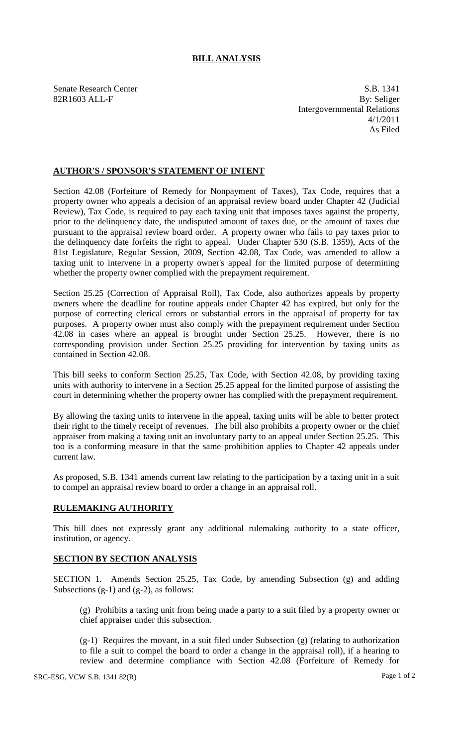## **BILL ANALYSIS**

Senate Research Center S.B. 1341 82R1603 ALL-F By: Seliger Intergovernmental Relations 4/1/2011 As Filed

## **AUTHOR'S / SPONSOR'S STATEMENT OF INTENT**

Section 42.08 (Forfeiture of Remedy for Nonpayment of Taxes), Tax Code, requires that a property owner who appeals a decision of an appraisal review board under Chapter 42 (Judicial Review), Tax Code, is required to pay each taxing unit that imposes taxes against the property, prior to the delinquency date, the undisputed amount of taxes due, or the amount of taxes due pursuant to the appraisal review board order. A property owner who fails to pay taxes prior to the delinquency date forfeits the right to appeal. Under Chapter 530 (S.B. 1359), Acts of the 81st Legislature, Regular Session, 2009, Section 42.08, Tax Code, was amended to allow a taxing unit to intervene in a property owner's appeal for the limited purpose of determining whether the property owner complied with the prepayment requirement.

Section 25.25 (Correction of Appraisal Roll), Tax Code, also authorizes appeals by property owners where the deadline for routine appeals under Chapter 42 has expired, but only for the purpose of correcting clerical errors or substantial errors in the appraisal of property for tax purposes. A property owner must also comply with the prepayment requirement under Section 42.08 in cases where an appeal is brought under Section 25.25. However, there is no corresponding provision under Section 25.25 providing for intervention by taxing units as contained in Section 42.08.

This bill seeks to conform Section 25.25, Tax Code, with Section 42.08, by providing taxing units with authority to intervene in a Section 25.25 appeal for the limited purpose of assisting the court in determining whether the property owner has complied with the prepayment requirement.

By allowing the taxing units to intervene in the appeal, taxing units will be able to better protect their right to the timely receipt of revenues. The bill also prohibits a property owner or the chief appraiser from making a taxing unit an involuntary party to an appeal under Section 25.25. This too is a conforming measure in that the same prohibition applies to Chapter 42 appeals under current law.

As proposed, S.B. 1341 amends current law relating to the participation by a taxing unit in a suit to compel an appraisal review board to order a change in an appraisal roll.

## **RULEMAKING AUTHORITY**

This bill does not expressly grant any additional rulemaking authority to a state officer, institution, or agency.

## **SECTION BY SECTION ANALYSIS**

SECTION 1. Amends Section 25.25, Tax Code, by amending Subsection (g) and adding Subsections  $(g-1)$  and  $(g-2)$ , as follows:

(g) Prohibits a taxing unit from being made a party to a suit filed by a property owner or chief appraiser under this subsection.

(g-1) Requires the movant, in a suit filed under Subsection (g) (relating to authorization to file a suit to compel the board to order a change in the appraisal roll), if a hearing to review and determine compliance with Section 42.08 (Forfeiture of Remedy for